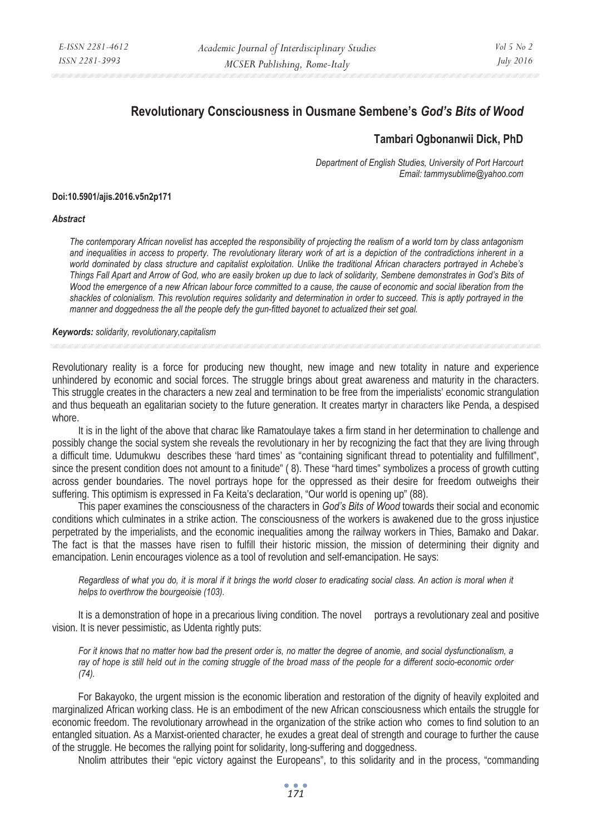# **Revolutionary Consciousness in Ousmane Sembene's** *God's Bits of Wood*

## **Tambari Ogbonanwii Dick, PhD**

*Department of English Studies, University of Port Harcourt Email: tammysublime@yahoo.com* 

### **Doi:10.5901/ajis.2016.v5n2p171**

#### *Abstract*

*The contemporary African novelist has accepted the responsibility of projecting the realism of a world torn by class antagonism and inequalities in access to property. The revolutionary literary work of art is a depiction of the contradictions inherent in a world dominated by class structure and capitalist exploitation. Unlike the traditional African characters portrayed in Achebe's Things Fall Apart and Arrow of God, who are easily broken up due to lack of solidarity, Sembene demonstrates in God's Bits of Wood the emergence of a new African labour force committed to a cause, the cause of economic and social liberation from the shackles of colonialism. This revolution requires solidarity and determination in order to succeed. This is aptly portrayed in the manner and doggedness the all the people defy the gun-fitted bayonet to actualized their set goal.* 

#### *Keywords: solidarity, revolutionary,capitalism*

Revolutionary reality is a force for producing new thought, new image and new totality in nature and experience unhindered by economic and social forces. The struggle brings about great awareness and maturity in the characters. This struggle creates in the characters a new zeal and termination to be free from the imperialists' economic strangulation and thus bequeath an egalitarian society to the future generation. It creates martyr in characters like Penda, a despised whore.

It is in the light of the above that charac like Ramatoulaye takes a firm stand in her determination to challenge and possibly change the social system she reveals the revolutionary in her by recognizing the fact that they are living through a difficult time. Udumukwu describes these 'hard times' as "containing significant thread to potentiality and fulfillment", since the present condition does not amount to a finitude" ( 8). These "hard times" symbolizes a process of growth cutting across gender boundaries. The novel portrays hope for the oppressed as their desire for freedom outweighs their suffering. This optimism is expressed in Fa Keita's declaration, "Our world is opening up" (88).

This paper examines the consciousness of the characters in *God's Bits of Wood* towards their social and economic conditions which culminates in a strike action. The consciousness of the workers is awakened due to the gross injustice perpetrated by the imperialists, and the economic inequalities among the railway workers in Thies, Bamako and Dakar. The fact is that the masses have risen to fulfill their historic mission, the mission of determining their dignity and emancipation. Lenin encourages violence as a tool of revolution and self-emancipation. He says:

*Regardless of what you do, it is moral if it brings the world closer to eradicating social class. An action is moral when it helps to overthrow the bourgeoisie (103).* 

It is a demonstration of hope in a precarious living condition. The novel portrays a revolutionary zeal and positive vision. It is never pessimistic, as Udenta rightly puts:

*For it knows that no matter how bad the present order is, no matter the degree of anomie, and social dysfunctionalism, a*  ray of hope is still held out in the coming struggle of the broad mass of the people for a different socio-economic order *(74).* 

For Bakayoko, the urgent mission is the economic liberation and restoration of the dignity of heavily exploited and marginalized African working class. He is an embodiment of the new African consciousness which entails the struggle for economic freedom. The revolutionary arrowhead in the organization of the strike action who comes to find solution to an entangled situation. As a Marxist-oriented character, he exudes a great deal of strength and courage to further the cause of the struggle. He becomes the rallying point for solidarity, long-suffering and doggedness.

Nnolim attributes their "epic victory against the Europeans", to this solidarity and in the process, "commanding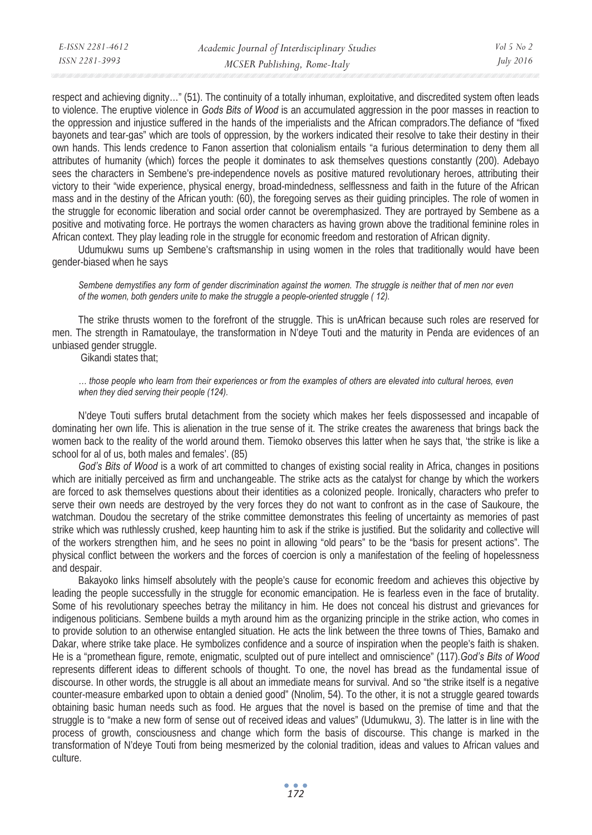respect and achieving dignity…" (51). The continuity of a totally inhuman, exploitative, and discredited system often leads to violence. The eruptive violence in *Gods Bits of Wood* is an accumulated aggression in the poor masses in reaction to the oppression and injustice suffered in the hands of the imperialists and the African compradors.The defiance of "fixed bayonets and tear-gas" which are tools of oppression, by the workers indicated their resolve to take their destiny in their own hands. This lends credence to Fanon assertion that colonialism entails "a furious determination to deny them all attributes of humanity (which) forces the people it dominates to ask themselves questions constantly (200). Adebayo sees the characters in Sembene's pre-independence novels as positive matured revolutionary heroes, attributing their victory to their "wide experience, physical energy, broad-mindedness, selflessness and faith in the future of the African mass and in the destiny of the African youth: (60), the foregoing serves as their guiding principles. The role of women in the struggle for economic liberation and social order cannot be overemphasized. They are portrayed by Sembene as a positive and motivating force. He portrays the women characters as having grown above the traditional feminine roles in African context. They play leading role in the struggle for economic freedom and restoration of African dignity.

Udumukwu sums up Sembene's craftsmanship in using women in the roles that traditionally would have been gender-biased when he says

*Sembene demystifies any form of gender discrimination against the women. The struggle is neither that of men nor even of the women, both genders unite to make the struggle a people-oriented struggle ( 12).* 

The strike thrusts women to the forefront of the struggle. This is unAfrican because such roles are reserved for men. The strength in Ramatoulaye, the transformation in N'deye Touti and the maturity in Penda are evidences of an unbiased gender struggle.

Gikandi states that;

*… those people who learn from their experiences or from the examples of others are elevated into cultural heroes, even when they died serving their people (124).* 

N'deye Touti suffers brutal detachment from the society which makes her feels dispossessed and incapable of dominating her own life. This is alienation in the true sense of it. The strike creates the awareness that brings back the women back to the reality of the world around them. Tiemoko observes this latter when he says that, 'the strike is like a school for al of us, both males and females'. (85)

*God's Bits of Wood* is a work of art committed to changes of existing social reality in Africa, changes in positions which are initially perceived as firm and unchangeable. The strike acts as the catalyst for change by which the workers are forced to ask themselves questions about their identities as a colonized people. Ironically, characters who prefer to serve their own needs are destroyed by the very forces they do not want to confront as in the case of Saukoure, the watchman. Doudou the secretary of the strike committee demonstrates this feeling of uncertainty as memories of past strike which was ruthlessly crushed, keep haunting him to ask if the strike is justified. But the solidarity and collective will of the workers strengthen him, and he sees no point in allowing "old pears" to be the "basis for present actions". The physical conflict between the workers and the forces of coercion is only a manifestation of the feeling of hopelessness and despair.

Bakayoko links himself absolutely with the people's cause for economic freedom and achieves this objective by leading the people successfully in the struggle for economic emancipation. He is fearless even in the face of brutality. Some of his revolutionary speeches betray the militancy in him. He does not conceal his distrust and grievances for indigenous politicians. Sembene builds a myth around him as the organizing principle in the strike action, who comes in to provide solution to an otherwise entangled situation. He acts the link between the three towns of Thies, Bamako and Dakar, where strike take place. He symbolizes confidence and a source of inspiration when the people's faith is shaken. He is a "promethean figure, remote, enigmatic, sculpted out of pure intellect and omniscience" (117).*God's Bits of Wood* represents different ideas to different schools of thought. To one, the novel has bread as the fundamental issue of discourse. In other words, the struggle is all about an immediate means for survival. And so "the strike itself is a negative counter-measure embarked upon to obtain a denied good" (Nnolim, 54). To the other, it is not a struggle geared towards obtaining basic human needs such as food. He argues that the novel is based on the premise of time and that the struggle is to "make a new form of sense out of received ideas and values" (Udumukwu, 3). The latter is in line with the process of growth, consciousness and change which form the basis of discourse. This change is marked in the transformation of N'deye Touti from being mesmerized by the colonial tradition, ideas and values to African values and culture.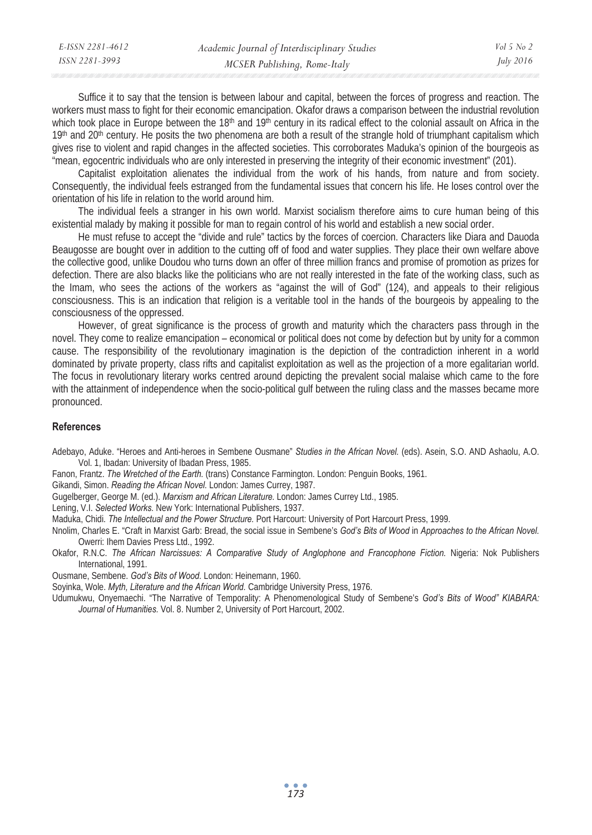| E-ISSN 2281-4612 | Academic Journal of Interdisciplinary Studies | Vol 5 No 2 |
|------------------|-----------------------------------------------|------------|
| ISSN 2281-3993   | MCSER Publishing, Rome-Italy                  | July 2016  |

Suffice it to say that the tension is between labour and capital, between the forces of progress and reaction. The workers must mass to fight for their economic emancipation. Okafor draws a comparison between the industrial revolution which took place in Europe between the 18<sup>th</sup> and 19<sup>th</sup> century in its radical effect to the colonial assault on Africa in the  $19<sup>th</sup>$  and  $20<sup>th</sup>$  century. He posits the two phenomena are both a result of the strangle hold of triumphant capitalism which gives rise to violent and rapid changes in the affected societies. This corroborates Maduka's opinion of the bourgeois as "mean, egocentric individuals who are only interested in preserving the integrity of their economic investment" (201).

Capitalist exploitation alienates the individual from the work of his hands, from nature and from society. Consequently, the individual feels estranged from the fundamental issues that concern his life. He loses control over the orientation of his life in relation to the world around him.

The individual feels a stranger in his own world. Marxist socialism therefore aims to cure human being of this existential malady by making it possible for man to regain control of his world and establish a new social order.

He must refuse to accept the "divide and rule" tactics by the forces of coercion. Characters like Diara and Dauoda Beaugosse are bought over in addition to the cutting off of food and water supplies. They place their own welfare above the collective good, unlike Doudou who turns down an offer of three million francs and promise of promotion as prizes for defection. There are also blacks like the politicians who are not really interested in the fate of the working class, such as the Imam, who sees the actions of the workers as "against the will of God" (124), and appeals to their religious consciousness. This is an indication that religion is a veritable tool in the hands of the bourgeois by appealing to the consciousness of the oppressed.

However, of great significance is the process of growth and maturity which the characters pass through in the novel. They come to realize emancipation – economical or political does not come by defection but by unity for a common cause. The responsibility of the revolutionary imagination is the depiction of the contradiction inherent in a world dominated by private property, class rifts and capitalist exploitation as well as the projection of a more egalitarian world. The focus in revolutionary literary works centred around depicting the prevalent social malaise which came to the fore with the attainment of independence when the socio-political gulf between the ruling class and the masses became more pronounced.

## **References**

Adebayo, Aduke. "Heroes and Anti-heroes in Sembene Ousmane" *Studies in the African Novel.* (eds). Asein, S.O. AND Ashaolu, A.O. Vol. 1, Ibadan: University of Ibadan Press, 1985.

Fanon, Frantz. *The Wretched of the Earth.* (trans) Constance Farmington. London: Penguin Books, 1961.

Gikandi, Simon. *Reading the African Novel.* London: James Currey, 1987.

Gugelberger, George M. (ed.). *Marxism and African Literature.* London: James Currey Ltd., 1985.

Lening, V.I. *Selected Works.* New York: International Publishers, 1937.

Maduka, Chidi. *The Intellectual and the Power Structure.* Port Harcourt: University of Port Harcourt Press, 1999.

Nnolim, Charles E. "Craft in Marxist Garb: Bread, the social issue in Sembene's *God's Bits of Wood* in *Approaches to the African Novel.* Owerri: Ihem Davies Press Ltd., 1992.

Okafor, R.N.C. *The African Narcissues: A Comparative Study of Anglophone and Francophone Fiction.* Nigeria: Nok Publishers International, 1991.

Ousmane, Sembene. *God's Bits of Wood.* London: Heinemann, 1960.

Soyinka, Wole. *Myth, Literature and the African World.* Cambridge University Press, 1976.

Udumukwu, Onyemaechi. "The Narrative of Temporality: A Phenomenological Study of Sembene's *God's Bits of Wood" KIABARA: Journal of Humanities.* Vol. 8. Number 2, University of Port Harcourt, 2002.